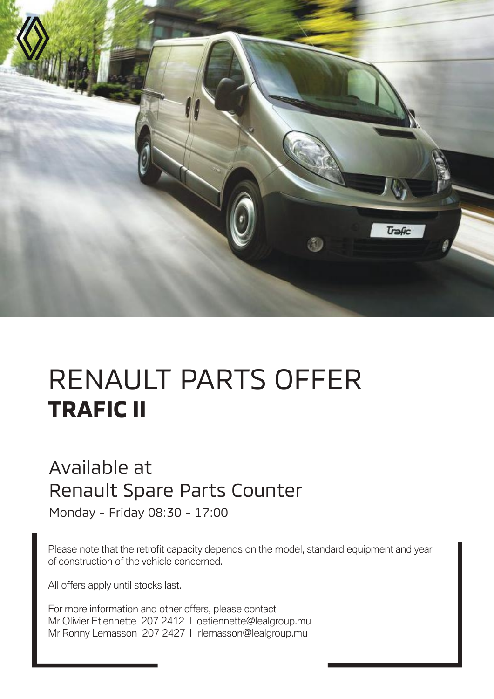

# RENAULT PARTS OFFER **TRAFIC II**

#### Available at Renault Spare Parts Counter

Monday - Friday 08:30 - 17:00

Please note that the retrofit capacity depends on the model, standard equipment and year of construction of the vehicle concerned.

All offers apply until stocks last.

For more information and other offers, please contact Mr Olivier Etiennette 207 2412 | oetiennette@lealgroup.mu Mr Ronny Lemasson 207 2427 | rlemasson@lealgroup.mu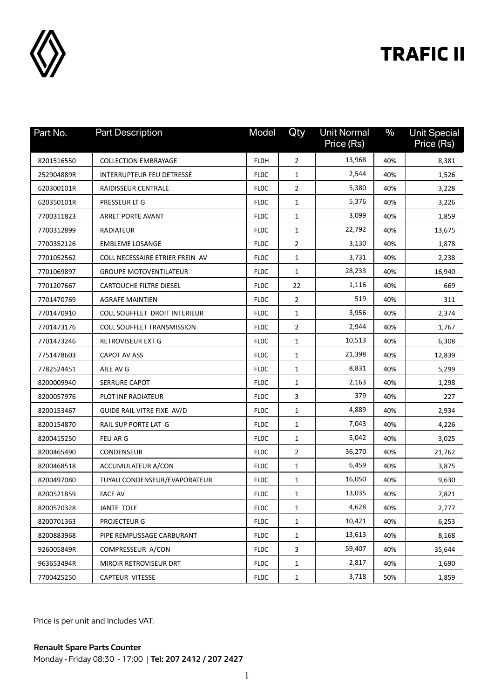

## **TRAFIC II**

| Part No.   | <b>Part Description</b>           | Model       | Qty            | <b>Unit Normal</b><br>Price (Rs) | $\frac{0}{0}$ | <b>Unit Special</b><br>Price (Rs) |
|------------|-----------------------------------|-------------|----------------|----------------------------------|---------------|-----------------------------------|
| 8201516550 | <b>COLLECTION EMBRAYAGE</b>       | <b>FLOH</b> | $\overline{2}$ | 13,968                           | 40%           | 8,381                             |
| 252904889R | INTERRUPTEUR FEU DETRESSE         | <b>FLOC</b> | $\mathbf{1}$   | 2,544                            | 40%           | 1,526                             |
| 620300101R | <b>RAIDISSEUR CENTRALE</b>        | <b>FLOC</b> | $\overline{2}$ | 5,380                            | 40%           | 3,228                             |
| 620350101R | PRESSEUR LT G                     | <b>FLOC</b> | $\mathbf{1}$   | 5,376                            | 40%           | 3,226                             |
| 7700311823 | ARRET PORTE AVANT                 | <b>FLOC</b> | $\mathbf{1}$   | 3,099                            | 40%           | 1,859                             |
| 7700312899 | <b>RADIATEUR</b>                  | <b>FLOC</b> | $\mathbf{1}$   | 22,792                           | 40%           | 13,675                            |
| 7700352126 | <b>EMBLEME LOSANGE</b>            | <b>FLOC</b> | $\overline{2}$ | 3,130                            | 40%           | 1,878                             |
| 7701052562 | COLL NECESSAIRE ETRIER FREIN AV   | <b>FLOC</b> | $\mathbf{1}$   | 3,731                            | 40%           | 2,238                             |
| 7701069897 | <b>GROUPE MOTOVENTILATEUR</b>     | <b>FLOC</b> | $\mathbf{1}$   | 28,233                           | 40%           | 16,940                            |
| 7701207667 | CARTOUCHE FILTRE DIESEL           | <b>FLOC</b> | 22             | 1,116                            | 40%           | 669                               |
| 7701470769 | <b>AGRAFE MAINTIEN</b>            | <b>FLOC</b> | $\overline{2}$ | 519                              | 40%           | 311                               |
| 7701470910 | COLL SOUFFLET DROIT INTERIEUR     | <b>FLOC</b> | $\mathbf{1}$   | 3,956                            | 40%           | 2,374                             |
| 7701473176 | <b>COLL SOUFFLET TRANSMISSION</b> | <b>FLOC</b> | $\overline{2}$ | 2,944                            | 40%           | 1,767                             |
| 7701473246 | RETROVISEUR EXT G                 | <b>FLOC</b> | $\mathbf{1}$   | 10,513                           | 40%           | 6,308                             |
| 7751478603 | CAPOT AV ASS                      | <b>FLOC</b> | $\mathbf{1}$   | 21,398                           | 40%           | 12,839                            |
| 7782524451 | AILE AV G                         | <b>FLOC</b> | $\mathbf{1}$   | 8,831                            | 40%           | 5,299                             |
| 8200009940 | SERRURE CAPOT                     | <b>FLOC</b> | $\mathbf{1}$   | 2,163                            | 40%           | 1,298                             |
| 8200057976 | PLOT INF RADIATEUR                | <b>FLOC</b> | 3              | 379                              | 40%           | 227                               |
| 8200153467 | GUIDE RAIL VITRE FIXE AV/D        | <b>FLOC</b> | $\mathbf{1}$   | 4,889                            | 40%           | 2,934                             |
| 8200154870 | RAIL SUP PORTE LAT G              | <b>FLOC</b> | $\mathbf{1}$   | 7,043                            | 40%           | 4,226                             |
| 8200415250 | FEU AR G                          | <b>FLOC</b> | $\mathbf{1}$   | 5,042                            | 40%           | 3,025                             |
| 8200465490 | CONDENSEUR                        | <b>FLOC</b> | $\overline{2}$ | 36,270                           | 40%           | 21,762                            |
| 8200468518 | ACCUMULATEUR A/CON                | <b>FLOC</b> | $\mathbf{1}$   | 6,459                            | 40%           | 3,875                             |
| 8200497080 | TUYAU CONDENSEUR/EVAPORATEUR      | <b>FLOC</b> | $\mathbf{1}$   | 16,050                           | 40%           | 9,630                             |
| 8200521859 | <b>FACE AV</b>                    | <b>FLOC</b> | $\mathbf{1}$   | 13,035                           | 40%           | 7,821                             |
| 8200570328 | JANTE TOLE                        | <b>FLOC</b> | $\mathbf{1}$   | 4,628                            | 40%           | 2,777                             |
| 8200701363 | PROJECTEUR G                      | <b>FLOC</b> | $\mathbf{1}$   | 10,421                           | 40%           | 6,253                             |
| 8200883968 | PIPE REMPLISSAGE CARBURANT        | <b>FLOC</b> | $\mathbf{1}$   | 13,613                           | 40%           | 8,168                             |
| 926005849R | COMPRESSEUR A/CON                 | <b>FLOC</b> | $\mathbf{3}$   | 59,407                           | 40%           | 35,644                            |
| 963653494R | <b>MIROIR RETROVISEUR DRT</b>     | <b>FLOC</b> | $\mathbf{1}$   | 2,817                            | 40%           | 1,690                             |
| 7700425250 | CAPTEUR VITESSE                   | <b>FLOC</b> | $\mathbf{1}$   | 3,718                            | 50%           | 1,859                             |

Price is per unit and includes VAT.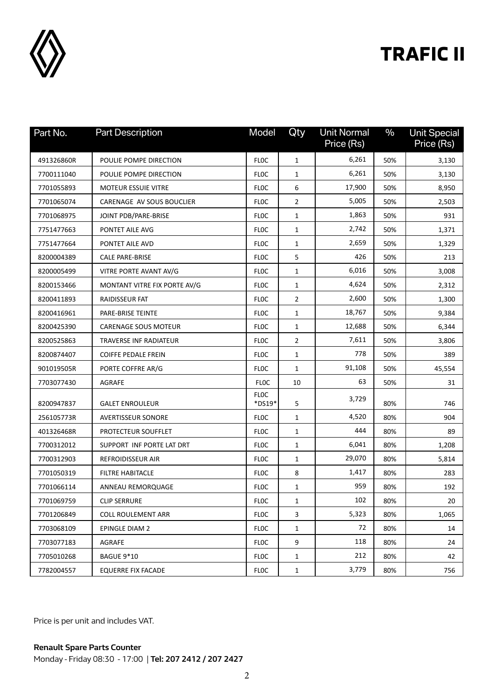

## **TRAFIC II**

| Part No.   | <b>Part Description</b>      | Model                 | Qty            | <b>Unit Normal</b><br>Price (Rs) | $\frac{0}{0}$ | <b>Unit Special</b><br>Price (Rs) |
|------------|------------------------------|-----------------------|----------------|----------------------------------|---------------|-----------------------------------|
| 491326860R | POULIE POMPE DIRECTION       | <b>FLOC</b>           | 1              | 6,261                            | 50%           | 3,130                             |
| 7700111040 | POULIE POMPE DIRECTION       | <b>FLOC</b>           | 1              | 6,261                            | 50%           | 3,130                             |
| 7701055893 | <b>MOTEUR ESSUIE VITRE</b>   | <b>FLOC</b>           | 6              | 17,900                           | 50%           | 8,950                             |
| 7701065074 | CARENAGE AV SOUS BOUCLIER    | <b>FLOC</b>           | $\overline{2}$ | 5,005                            | 50%           | 2,503                             |
| 7701068975 | JOINT PDB/PARE-BRISE         | <b>FLOC</b>           | $\mathbf{1}$   | 1,863                            | 50%           | 931                               |
| 7751477663 | PONTET AILE AVG              | <b>FLOC</b>           | 1              | 2,742                            | 50%           | 1,371                             |
| 7751477664 | PONTET AILE AVD              | <b>FLOC</b>           | 1              | 2,659                            | 50%           | 1,329                             |
| 8200004389 | <b>CALE PARE-BRISE</b>       | <b>FLOC</b>           | 5              | 426                              | 50%           | 213                               |
| 8200005499 | VITRE PORTE AVANT AV/G       | <b>FLOC</b>           | $\mathbf{1}$   | 6,016                            | 50%           | 3,008                             |
| 8200153466 | MONTANT VITRE FIX PORTE AV/G | <b>FLOC</b>           | $\mathbf{1}$   | 4,624                            | 50%           | 2,312                             |
| 8200411893 | RAIDISSEUR FAT               | <b>FLOC</b>           | 2              | 2,600                            | 50%           | 1,300                             |
| 8200416961 | PARE-BRISE TEINTE            | <b>FLOC</b>           | 1              | 18,767                           | 50%           | 9,384                             |
| 8200425390 | <b>CARENAGE SOUS MOTEUR</b>  | <b>FLOC</b>           | $\mathbf{1}$   | 12,688                           | 50%           | 6,344                             |
| 8200525863 | TRAVERSE INF RADIATEUR       | <b>FLOC</b>           | $\overline{2}$ | 7,611                            | 50%           | 3,806                             |
| 8200874407 | <b>COIFFE PEDALE FREIN</b>   | <b>FLOC</b>           | $\mathbf{1}$   | 778                              | 50%           | 389                               |
| 901019505R | PORTE COFFRE AR/G            | <b>FLOC</b>           | 1              | 91,108                           | 50%           | 45,554                            |
| 7703077430 | AGRAFE                       | <b>FLOC</b>           | 10             | 63                               | 50%           | 31                                |
| 8200947837 | <b>GALET ENROULEUR</b>       | <b>FLOC</b><br>*DS19* | 5              | 3,729                            | 80%           | 746                               |
| 256105773R | <b>AVERTISSEUR SONORE</b>    | <b>FLOC</b>           | $\mathbf{1}$   | 4,520                            | 80%           | 904                               |
| 401326468R | PROTECTEUR SOUFFLET          | <b>FLOC</b>           | $\mathbf{1}$   | 444                              | 80%           | 89                                |
| 7700312012 | SUPPORT INF PORTE LAT DRT    | <b>FLOC</b>           | $\mathbf{1}$   | 6,041                            | 80%           | 1,208                             |
| 7700312903 | <b>REFROIDISSEUR AIR</b>     | <b>FLOC</b>           | $\mathbf{1}$   | 29,070                           | 80%           | 5,814                             |
| 7701050319 | FILTRE HABITACLE             | <b>FLOC</b>           | 8              | 1,417                            | 80%           | 283                               |
| 7701066114 | ANNEAU REMORQUAGE            | <b>FLOC</b>           | 1              | 959                              | 80%           | 192                               |
| 7701069759 | <b>CLIP SERRURE</b>          | <b>FLOC</b>           | 1              | 102                              | 80%           | 20                                |
| 7701206849 | <b>COLL ROULEMENT ARR</b>    | <b>FLOC</b>           | 3              | 5,323                            | 80%           | 1,065                             |
| 7703068109 | <b>EPINGLE DIAM 2</b>        | <b>FLOC</b>           | 1              | 72                               | 80%           | 14                                |
| 7703077183 | <b>AGRAFE</b>                | <b>FLOC</b>           | 9              | 118                              | 80%           | 24                                |
| 7705010268 | <b>BAGUE 9*10</b>            | <b>FLOC</b>           | $\mathbf{1}$   | 212                              | 80%           | 42                                |
| 7782004557 | <b>EQUERRE FIX FACADE</b>    | <b>FLOC</b>           | $\mathbf{1}$   | 3,779                            | 80%           | 756                               |

Price is per unit and includes VAT.

**Renault Spare Parts Counter**  Monday - Friday 08:30 - 17:00 | **Tel: 207 2412 / 207 2427**